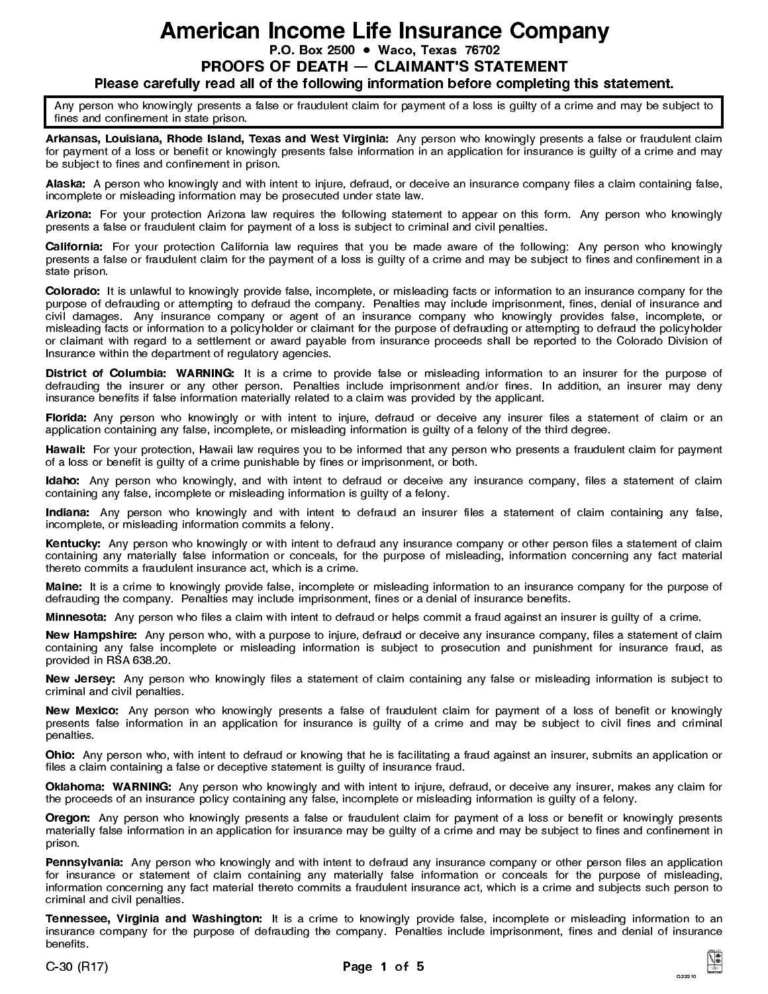# American Income Life Insurance Company

P.O. Box 2500 Waco, Texas 76702

#### PROOFS OF DEATH  $-$  CLAIMANT'S STATEMENT

#### Please carefully read all of the following information before completing this statement.

Any person who knowingly presents a false or fraudulent claim for payment of a loss is guilty of a crime and may be subject to fines and confinement in state prison.

Arkansas, Louisiana, Rhode Island, Texas and West Virginia: Any person who knowingly presents a false or fraudulent claim for payment of a loss or benefit or knowingly presents false information in an application for insurance is guilty of a crime and may be subject to fines and confinement in prison.

Alaska: A person who knowingly and with intent to injure, defraud, or deceive an insurance company files a claim containing false, incomplete or misleading information may be prosecuted under state law.

Arizona: For your protection Arizona law requires the following statement to appear on this form. Any person who knowingly presents a false or fraudulent claim for payment of a loss is subject to criminal and civil penalties.

California: For your protection California law requires that you be made aware of the following: Any person who knowingly presents a false or fraudulent claim for the payment of a loss is guilty of a crime and may be subject to fines and confinement in a state prison.

Colorado: It is unlawful to knowingly provide false, incomplete, or misleading facts or information to an insurance company for the purpose of defrauding or attempting to defraud the company. Penalties may include imprisonment, fines, denial of insurance and civil damages. Any insurance company or agent of an insurance company who knowingly provides false, incomplete, or misleading facts or information to a policyholder or claimant for the purpose of defrauding or attempting to defraud the policyholder or claimant with regard to a settlement or award payable from insurance proceeds shall be reported to the Colorado Division of Insurance within the department of regulatory agencies.

District of Columbia: WARNING: It is a crime to provide false or misleading information to an insurer for the purpose of defrauding the insurer or any other person. Penalties include imprisonment and/or fines. In addition, an insurer may deny insurance benefits if false information materially related to a claim was provided by the applicant.

Florida: Any person who knowingly or with intent to injure, defraud or deceive any insurer files a statement of claim or an application containing any false, incomplete, or misleading information is guilty of a felony of the third degree.

Hawaii: For your protection, Hawaii law requires you to be informed that any person who presents a fraudulent claim for payment of a loss or benefit is guilty of a crime punishable by fines or imprisonment, or both.

Idaho: Any person who knowingly, and with intent to defraud or deceive any insurance company, files a statement of claim containing any false, incomplete or misleading information is guilty of a felony.

Indiana: Any person who knowingly and with intent to defraud an insurer files a statement of claim containing any false, incomplete, or misleading information commits a felony.

Kentucky: Any person who knowingly or with intent to defraud any insurance company or other person files a statement of claim containing any materially false information or conceals, for the purpose of misleading, information concerning any fact material thereto commits a fraudulent insurance act, which is a crime.

Maine: It is a crime to knowingly provide false, incomplete or misleading information to an insurance company for the purpose of defrauding the company. Penalties may include imprisonment, fines or a denial of insurance benefits.

Minnesota: Any person who files a claim with intent to defraud or helps commit a fraud against an insurer is guilty of a crime.

New Hampshire: Any person who, with a purpose to injure, defraud or deceive any insurance company, files a statement of claim containing any false incomplete or misleading information is subject to prosecution and punishment for insurance fraud, as provided in RSA 638.20.

New Jersey: Any person who knowingly files a statement of claim containing any false or misleading information is subject to criminal and civil penalties.

New Mexico: Any person who knowingly presents a false of fraudulent claim for payment of a loss of benefit or knowingly presents false information in an application for insurance is guilty of a crime and may be subject to civil fines and criminal penalties.

Ohio: Any person who, with intent to defraud or knowing that he is facilitating a fraud against an insurer, submits an application or files a claim containing a false or deceptive statement is guilty of insurance fraud.

Oklahoma: WARNING: Any person who knowingly and with intent to injure, defraud, or deceive any insurer, makes any claim for the proceeds of an insurance policy containing any false, incomplete or misleading information is guilty of a felony.

Oregon: Any person who knowingly presents a false or fraudulent claim for payment of a loss or benefit or knowingly presents materially false information in an application for insurance may be guilty of a crime and may be subject to fines and confinement in prison.

Pennsylvania: Any person who knowingly and with intent to defraud any insurance company or other person files an application for insurance or statement of claim containing any materially false information or conceals for the purpose of misleading, information concerning any fact material thereto commits a fraudulent insurance act, which is a crime and subjects such person to criminal and civil penalties.

Tennessee, Virginia and Washington: It is a crime to knowingly provide false, incomplete or misleading information to an insurance company for the purpose of defrauding the company. Penalties include imprisonment, fines and denial of insurance benefits.

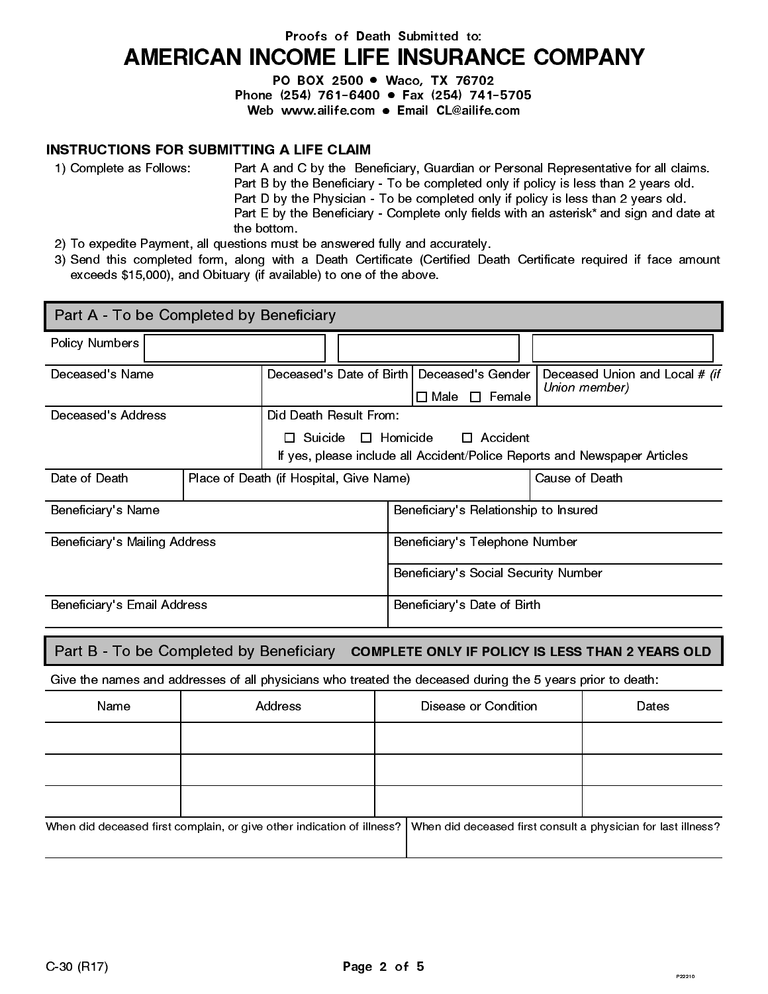# Proofs of Death Submitted to: AMERICAN INCOME LIFE INSURANCE COMPANY

PO BOX 2500 · Waco, TX 76702 Phone (254) 761-6400 • Fax (254) 741-5705 Web www.ailife.com • Email CL@ailife.com

#### INSTRUCTIONS FOR SUBMITTING A LIFE CLAIM

1) Complete as Follows: Part A and C by the Beneficiary, Guardian or Personal Representative for all claims. Part B by the Beneficiary - To be completed only if policy is less than 2 years old. Part D by the Physician - To be completed only if policy is less than 2 years old. Part E by the Beneficiary - Complete only fields with an asterisk\* and sign and date at the bottom.

- 2) To expedite Payment, all questions must be answered fully and accurately.
- 3) Send this completed form, along with a Death Certificate (Certified Death Certificate required if face amount exceeds \$15,000), and Obituary (if available) to one of the above.

| Part A - To be Completed by Beneficiary |                                         |                                                                           |                                                                           |
|-----------------------------------------|-----------------------------------------|---------------------------------------------------------------------------|---------------------------------------------------------------------------|
| <b>Policy Numbers</b>                   |                                         |                                                                           |                                                                           |
| Deceased's Name                         |                                         | Deceased's Date of Birth   Deceased's Gender<br>$\Box$ Male $\Box$ Female | Deceased Union and Local # (if<br>Union member)                           |
| Deceased's Address                      | Did Death Result From:                  | $\Box$ Suicide $\Box$ Homicide $\Box$ Accident                            |                                                                           |
|                                         |                                         |                                                                           | If yes, please include all Accident/Police Reports and Newspaper Articles |
| Date of Death                           | Place of Death (if Hospital, Give Name) |                                                                           | Cause of Death                                                            |
| Beneficiary's Name                      |                                         | Beneficiary's Relationship to Insured                                     |                                                                           |
| Beneficiary's Mailing Address           |                                         | Beneficiary's Telephone Number                                            |                                                                           |
|                                         |                                         | Beneficiary's Social Security Number                                      |                                                                           |
| Beneficiary's Email Address             |                                         | Beneficiary's Date of Birth                                               |                                                                           |

### Part B - To be Completed by Beneficiary COMPLETE ONLY IF POLICY IS LESS THAN 2 YEARS OLD

Give the names and addresses of all physicians who treated the deceased during the 5 years prior to death:

| Name | Address                                                                                                                                | Disease or Condition | Dates |  |
|------|----------------------------------------------------------------------------------------------------------------------------------------|----------------------|-------|--|
|      |                                                                                                                                        |                      |       |  |
|      |                                                                                                                                        |                      |       |  |
|      |                                                                                                                                        |                      |       |  |
|      | When did deceased first complain, or give other indication of illness?   When did deceased first consult a physician for last illness? |                      |       |  |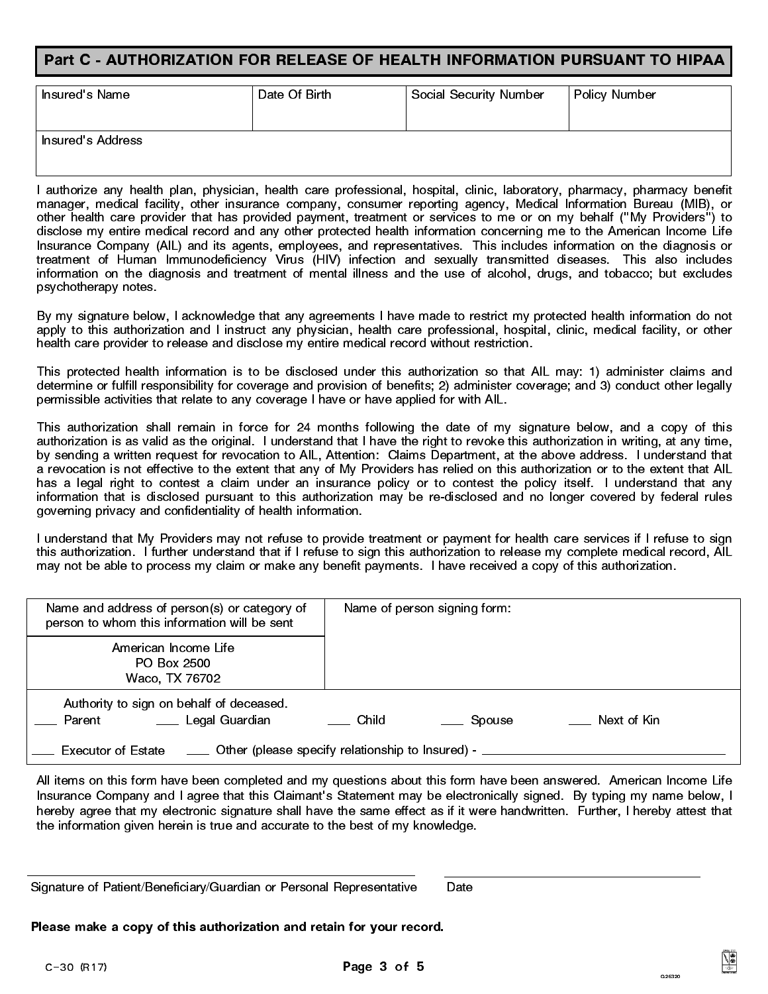## Part C - AUTHORIZATION FOR RELEASE OF HEALTH INFORMATION PURSUANT TO HIPAA

| Insured's Name      | Date Of Birth | <b>Social Security Number</b> | Policy Number |
|---------------------|---------------|-------------------------------|---------------|
| l Insured's Address |               |                               |               |

I authorize any health plan, physician, health care professional, hospital, clinic, laboratory, pharmacy, pharmacy benefit manager, medical facility, other insurance company, consumer reporting agency, Medical Information Bureau (MIB), or other health care provider that has provided payment, treatment or services to me or on my behalf ("My Providers") to disclose my entire medical record and any other protected health information concerning me to the American Income Life Insurance Company (AIL) and its agents, employees, and representatives. This includes information on the diagnosis or treatment of Human Immunodeficiency Virus (HIV) infection and sexually transmitted diseases. This also includes information on the diagnosis and treatment of mental illness and the use of alcohol, drugs, and tobacco; but excludes psychotherapy notes.

By my signature below, I acknowledge that any agreements I have made to restrict my protected health information do not apply to this authorization and I instruct any physician, health care professional, hospital, clinic, medical facility, or other health care provider to release and disclose my entire medical record without restriction.

This protected health information is to be disclosed under this authorization so that AIL may: 1) administer claims and determine or fulfill responsibility for coverage and provision of benefits; 2) administer coverage; and 3) conduct other legally permissible activities that relate to any coverage I have or have applied for with AIL.

This authorization shall remain in force for 24 months following the date of my signature below, and a copy of this authorization is as valid as the original. I understand that I have the right to revoke this authorization in writing, at any time, by sending a written request for revocation to AIL, Attention: Claims Department, at the above address. I understand that a revocation is not effective to the extent that any of My Providers has relied on this authorization or to the extent that AIL has a legal right to contest a claim under an insurance policy or to contest the policy itself. I understand that any information that is disclosed pursuant to this authorization may be re-disclosed and no longer covered by federal rules governing privacy and confidentiality of health information.

I understand that My Providers may not refuse to provide treatment or payment for health care services if I refuse to sign this authorization. I further understand that if I refuse to sign this authorization to release my complete medical record, AIL may not be able to process my claim or make any benefit payments. I have received a copy of this authorization.

| Name and address of person(s) or category of<br>person to whom this information will be sent |            | Name of person signing form: |             |
|----------------------------------------------------------------------------------------------|------------|------------------------------|-------------|
| American Income Life<br>PO Box 2500<br>Waco, TX 76702                                        |            |                              |             |
| Authority to sign on behalf of deceased.<br>Legal Guardian<br>Parent                         | ____ Child | Spouse                       | Next of Kin |
| Other (please specify relationship to Insured) -<br>Executor of Estate                       |            |                              |             |

All items on this form have been completed and my questions about this form have been answered. American Income Life Insurance Company and I agree that this Claimant's Statement may be electronically signed. By typing my name below, I hereby agree that my electronic signature shall have the same effect as if it were handwritten. Further, I hereby attest that the information given herein is true and accurate to the best of my knowledge.

Signature of Patient/Beneficiary/Guardian or Personal Representative Date

Please make a copy of this authorization and retain for your record.

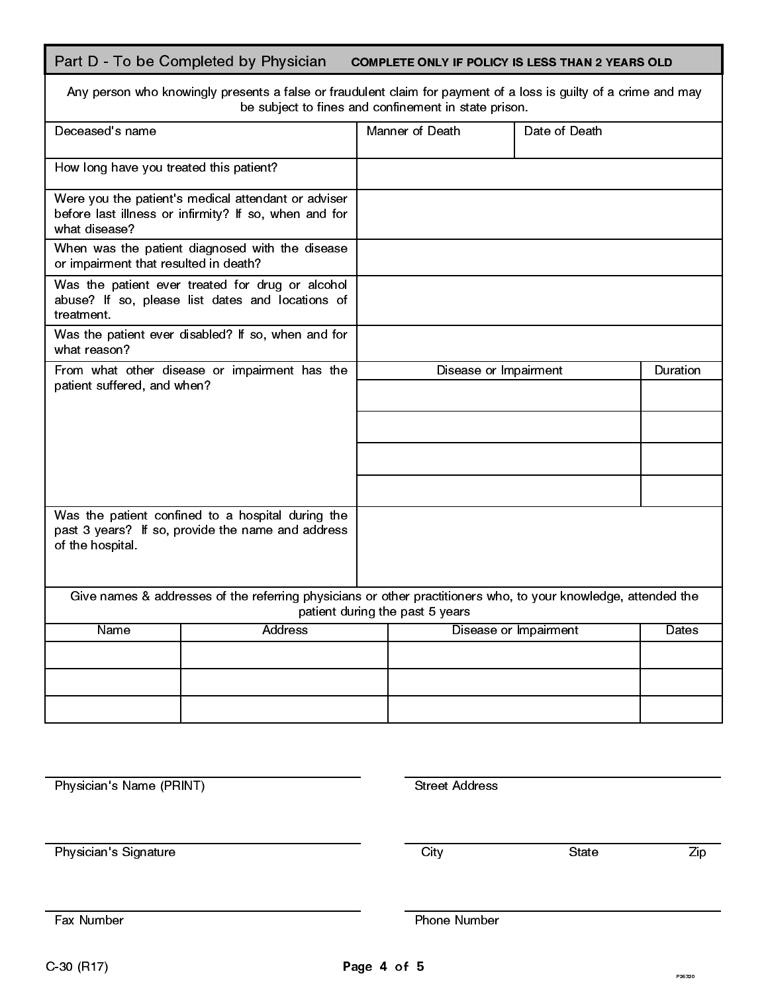## Part D - To be Completed by Physician COMPLETE ONLY IF POLICY IS LESS THAN 2 YEARS OLD

| Any person who knowingly presents a false or fraudulent claim for payment of a loss is guilty of a crime and may |  |
|------------------------------------------------------------------------------------------------------------------|--|
| be subject to fines and confinement in state prison.                                                             |  |

| Deceased's name                                                                                                               |                | Manner of Death                 | Date of Death         |              |
|-------------------------------------------------------------------------------------------------------------------------------|----------------|---------------------------------|-----------------------|--------------|
| How long have you treated this patient?                                                                                       |                |                                 |                       |              |
| Were you the patient's medical attendant or adviser<br>before last illness or infirmity? If so, when and for<br>what disease? |                |                                 |                       |              |
| When was the patient diagnosed with the disease<br>or impairment that resulted in death?                                      |                |                                 |                       |              |
| Was the patient ever treated for drug or alcohol<br>abuse? If so, please list dates and locations of<br>treatment.            |                |                                 |                       |              |
| Was the patient ever disabled? If so, when and for<br>what reason?                                                            |                |                                 |                       |              |
| From what other disease or impairment has the<br>patient suffered, and when?                                                  |                | Disease or Impairment           |                       | Duration     |
|                                                                                                                               |                |                                 |                       |              |
|                                                                                                                               |                |                                 |                       |              |
| Was the patient confined to a hospital during the<br>past 3 years? If so, provide the name and address<br>of the hospital.    |                |                                 |                       |              |
| Give names & addresses of the referring physicians or other practitioners who, to your knowledge, attended the                |                | patient during the past 5 years |                       |              |
| Name                                                                                                                          | <b>Address</b> |                                 | Disease or Impairment | <b>Dates</b> |
|                                                                                                                               |                |                                 |                       |              |
|                                                                                                                               |                |                                 |                       |              |

| Physician's Name (PRINT) | <b>Street Address</b> |       |     |
|--------------------------|-----------------------|-------|-----|
| Physician's Signature    | City                  | State | Zip |
| Fax Number               | Phone Number          |       |     |